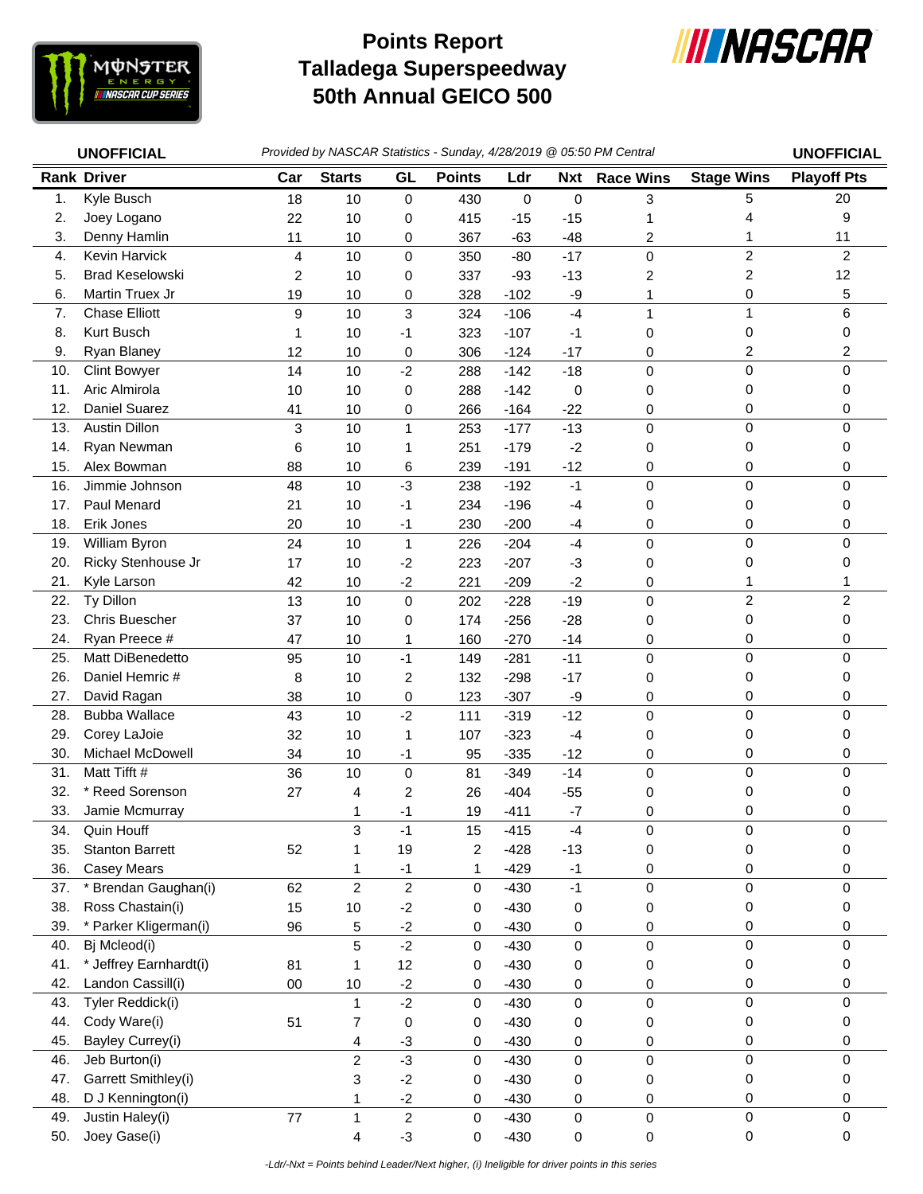

## **Talladega Superspeedway 50th Annual GEICO 500 Points Report**



|               | <b>UNOFFICIAL</b>            |        | Provided by NASCAR Statistics - Sunday, 4/28/2019 @ 05:50 PM Central |                        |                |                  |              |                     |                         | <b>UNOFFICIAL</b>  |
|---------------|------------------------------|--------|----------------------------------------------------------------------|------------------------|----------------|------------------|--------------|---------------------|-------------------------|--------------------|
|               | <b>Rank Driver</b>           | Car    | <b>Starts</b>                                                        | GL                     | <b>Points</b>  | Ldr              | <b>Nxt</b>   | <b>Race Wins</b>    | <b>Stage Wins</b>       | <b>Playoff Pts</b> |
| $\mathbf 1$ . | Kyle Busch                   | 18     | 10                                                                   | 0                      | 430            | 0                | 0            | 3                   | 5                       | 20                 |
| 2.            | Joey Logano                  | 22     | 10                                                                   | 0                      | 415            | $-15$            | $-15$        |                     | 4                       | 9                  |
| 3.            | Denny Hamlin                 | 11     | 10                                                                   | 0                      | 367            | $-63$            | $-48$        | 2                   | 1                       | 11                 |
| 4.            | Kevin Harvick                | 4      | 10                                                                   | $\mathbf 0$            | 350            | $-80$            | $-17$        | 0                   | 2                       | $\overline{2}$     |
| 5.            | <b>Brad Keselowski</b>       | 2      | 10                                                                   | 0                      | 337            | $-93$            | $-13$        | 2                   | $\overline{\mathbf{c}}$ | 12                 |
| 6.            | Martin Truex Jr              | 19     | 10                                                                   | 0                      | 328            | $-102$           | -9           | 1                   | 0                       | 5                  |
| 7.            | <b>Chase Elliott</b>         | 9      | 10                                                                   | 3                      | 324            | $-106$           | $-4$         | 1                   | $\mathbf{1}$            | 6                  |
| 8.            | Kurt Busch                   | 1      | 10                                                                   | $-1$                   | 323            | $-107$           | $-1$         | 0                   | 0                       | 0                  |
| 9.            | Ryan Blaney                  | 12     | 10                                                                   | 0                      | 306            | $-124$           | $-17$        | 0                   | 2                       | 2                  |
| 10.           | <b>Clint Bowyer</b>          | 14     | 10                                                                   | $-2$                   | 288            | $-142$           | $-18$        | 0                   | $\mathbf 0$             | 0                  |
| 11.           | Aric Almirola                | 10     | 10                                                                   | 0                      | 288            | $-142$           | 0            | 0                   | 0                       | 0                  |
| 12.           | Daniel Suarez                | 41     | 10                                                                   | 0                      | 266            | $-164$           | $-22$        | 0                   | 0                       | 0                  |
| 13.           | <b>Austin Dillon</b>         | 3      | 10                                                                   | $\mathbf{1}$           | 253            | $-177$           | $-13$        | $\mathsf 0$         | 0                       | 0                  |
| 14.           | Ryan Newman                  | 6      | 10                                                                   | 1                      | 251            | $-179$           | $-2$         | 0                   | 0                       | 0                  |
| 15.           | Alex Bowman                  | 88     | 10                                                                   | 6                      | 239            | $-191$           | $-12$        | 0                   | 0                       | 0                  |
| 16.           | Jimmie Johnson               | 48     | 10                                                                   | $-3$                   | 238            | $-192$           | $-1$         | $\mathsf 0$         | $\mathbf 0$             | 0                  |
| 17.           | Paul Menard                  | 21     | 10                                                                   | $-1$                   | 234            | $-196$           | $-4$         | 0                   | 0                       | 0                  |
| 18.           | Erik Jones                   | 20     | 10                                                                   | $-1$                   | 230            | $-200$           | $-4$         | 0                   | 0                       | 0                  |
| 19.           | William Byron                | 24     | 10                                                                   | $\mathbf{1}$           | 226            | $-204$           | $-4$         | 0                   | 0                       | 0                  |
| 20.           | Ricky Stenhouse Jr           | 17     | 10                                                                   | $-2$                   | 223            | $-207$           | $-3$         | 0                   | 0                       | 0                  |
| 21.           | Kyle Larson                  | 42     | 10                                                                   | $-2$                   | 221            | $-209$           | $-2$         | 0                   | 1                       | 1                  |
| 22.           | Ty Dillon                    | 13     | 10                                                                   | $\pmb{0}$              | 202            | $-228$           | $-19$        | 0                   | $\overline{c}$          | $\overline{c}$     |
| 23.           | Chris Buescher               | 37     | 10                                                                   | $\pmb{0}$              | 174            | $-256$           | $-28$        | 0                   | 0                       | 0                  |
| 24.           | Ryan Preece #                | 47     | 10                                                                   | 1                      | 160            | $-270$           | $-14$        | 0                   | 0                       | 0                  |
| 25.           | Matt DiBenedetto             | 95     | 10                                                                   | $-1$                   | 149            | $-281$           | $-11$        | $\mathbf 0$         | $\mathsf 0$             | 0                  |
| 26.           | Daniel Hemric #              | 8      | 10                                                                   | $\overline{c}$         | 132            | $-298$           | $-17$        | 0                   | 0                       | 0                  |
| 27.           | David Ragan                  | 38     | 10                                                                   | 0                      | 123            | $-307$           | -9           | 0                   | 0                       | 0                  |
| 28.           | <b>Bubba Wallace</b>         | 43     | 10                                                                   | $-2$                   | 111            | $-319$           | $-12$        | 0                   | 0                       | $\Omega$           |
| 29.           | Corey LaJoie                 | 32     | 10                                                                   | $\mathbf{1}$           | 107            | $-323$           | $-4$         | 0                   | 0                       | 0                  |
| 30.           | Michael McDowell             | 34     | 10                                                                   | $-1$                   | 95             | $-335$           | $-12$        | 0                   | 0                       | 0                  |
| 31.           | Matt Tifft #                 | 36     | 10                                                                   | $\pmb{0}$              | 81             | $-349$           | $-14$        | 0                   | 0                       | 0                  |
| 32.           | * Reed Sorenson              | 27     | 4                                                                    | $\overline{c}$         | 26             | $-404$           | $-55$        | 0                   | 0                       | 0                  |
| 33.           | Jamie Mcmurray<br>Quin Houff |        | 1                                                                    | $-1$                   | 19             | $-411$           | $-7$         | 0                   | 0                       | 0                  |
| 34.<br>35.    | <b>Stanton Barrett</b>       |        | 3                                                                    | $-1$                   | 15             | $-415$           | $-4$         | 0                   | 0                       | 0                  |
| 36.           | <b>Casey Mears</b>           | 52     | 1                                                                    | 19                     | $\overline{c}$ | $-428$<br>$-429$ | $-13$        | 0                   | 0                       | 0<br>0             |
| 37.           | * Brendan Gaughan(i)         | 62     | 1<br>$\overline{c}$                                                  | $-1$<br>$\overline{2}$ | 1<br>0         | $-430$           | $-1$<br>$-1$ | 0<br>$\pmb{0}$      | 0<br>$\mathsf 0$        | 0                  |
| 38.           | Ross Chastain(i)             | 15     | 10                                                                   | $-2$                   | 0              | $-430$           | 0            | 0                   | 0                       | 0                  |
| 39.           | * Parker Kligerman(i)        | 96     | 5                                                                    | $-2$                   | 0              | $-430$           | 0            | 0                   | 0                       | 0                  |
| 40.           | Bj Mcleod(i)                 |        | 5                                                                    | $-2$                   | 0              | $-430$           | 0            | $\mathsf 0$         | $\pmb{0}$               | 0                  |
| 41.           | * Jeffrey Earnhardt(i)       | 81     | 1                                                                    | 12                     | 0              | $-430$           | 0            | 0                   | 0                       | 0                  |
| 42.           | Landon Cassill(i)            | $00\,$ | 10                                                                   | $-2$                   | 0              | $-430$           | 0            | 0                   | 0                       | 0                  |
| 43.           | Tyler Reddick(i)             |        | $\mathbf{1}$                                                         | $-2$                   | 0              | $-430$           | $\mathbf 0$  | 0                   | $\mathsf 0$             | 0                  |
| 44.           | Cody Ware(i)                 | 51     | 7                                                                    | $\pmb{0}$              | 0              | $-430$           | 0            | 0                   | 0                       | 0                  |
| 45.           | Bayley Currey(i)             |        | 4                                                                    | $-3$                   | 0              | $-430$           | 0            | 0                   | 0                       | 0                  |
| 46.           | Jeb Burton(i)                |        | $\overline{c}$                                                       | $-3$                   | 0              | $-430$           | $\mathbf 0$  | 0                   | $\mathsf 0$             | 0                  |
| 47.           | Garrett Smithley(i)          |        | 3                                                                    | $-2$                   | 0              | $-430$           | 0            | 0                   | 0                       | 0                  |
| 48.           | D J Kennington(i)            |        | 1                                                                    | $-2$                   | 0              | $-430$           | 0            | 0                   | 0                       | 0                  |
| 49.           | Justin Haley(i)              | 77     | $\mathbf{1}$                                                         | $\overline{2}$         | 0              | $-430$           | $\mathbf 0$  | $\pmb{0}$           | 0                       | 0                  |
| 50.           | Joey Gase(i)                 |        | $\overline{\mathbf{4}}$                                              | $-3$                   | 0              | $-430$           | 0            | $\mathsf{O}\xspace$ | $\mathbf 0$             | 0                  |